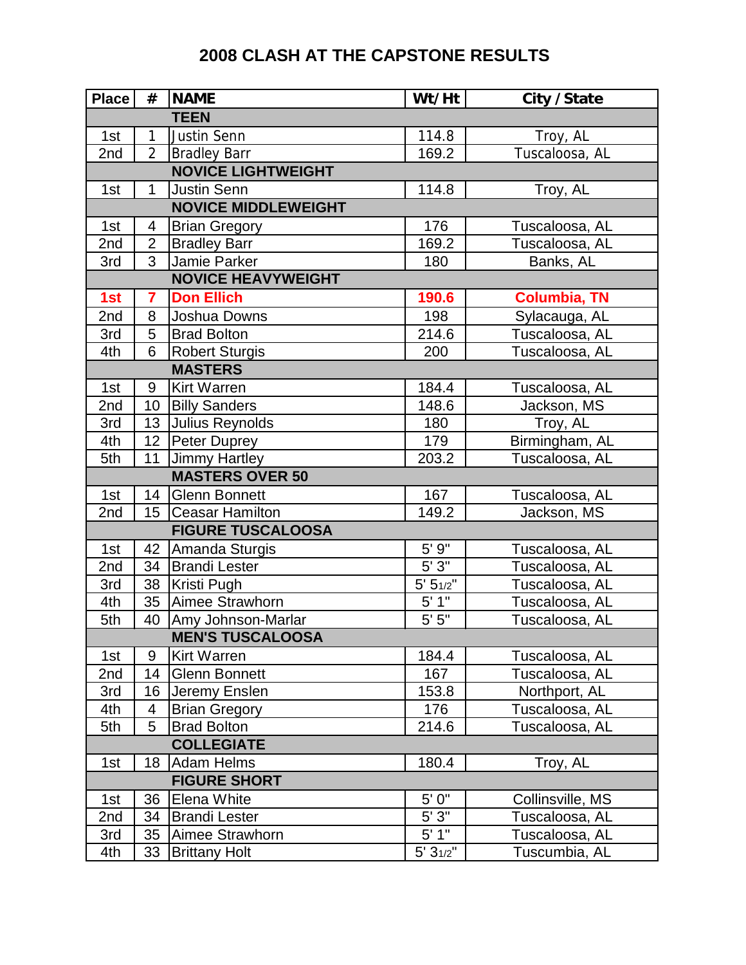## **2008 CLASH AT THE CAPSTONE RESULTS**

| <b>Place</b>               | $^{\#}$         | <b>NAME</b>              | Wt/Ht     | City / State        |  |  |  |
|----------------------------|-----------------|--------------------------|-----------|---------------------|--|--|--|
|                            |                 | <b>TEEN</b>              |           |                     |  |  |  |
| 1st                        | $\mathbf{1}$    | Justin Senn              | 114.8     | Troy, AL            |  |  |  |
| 2nd                        | $\overline{2}$  | <b>Bradley Barr</b>      | 169.2     | Tuscaloosa, AL      |  |  |  |
| <b>NOVICE LIGHTWEIGHT</b>  |                 |                          |           |                     |  |  |  |
| 1st                        | 1               | <b>Justin Senn</b>       | 114.8     | Troy, AL            |  |  |  |
| <b>NOVICE MIDDLEWEIGHT</b> |                 |                          |           |                     |  |  |  |
| 1st                        | 4               | <b>Brian Gregory</b>     | 176       | Tuscaloosa, AL      |  |  |  |
| 2nd                        | $\overline{2}$  | <b>Bradley Barr</b>      | 169.2     | Tuscaloosa, AL      |  |  |  |
| 3rd                        | 3               | Jamie Parker             | 180       | Banks, AL           |  |  |  |
| <b>NOVICE HEAVYWEIGHT</b>  |                 |                          |           |                     |  |  |  |
| 1st                        | 7               | <b>Don Ellich</b>        | 190.6     | <b>Columbia, TN</b> |  |  |  |
| 2nd                        | 8               | Joshua Downs             | 198       | Sylacauga, AL       |  |  |  |
| 3rd                        | 5               | <b>Brad Bolton</b>       | 214.6     | Tuscaloosa, AL      |  |  |  |
| 4th                        | 6               | <b>Robert Sturgis</b>    | 200       | Tuscaloosa, AL      |  |  |  |
|                            |                 | <b>MASTERS</b>           |           |                     |  |  |  |
| 1st                        | 9               | <b>Kirt Warren</b>       | 184.4     | Tuscaloosa, AL      |  |  |  |
| 2nd                        | 10              | <b>Billy Sanders</b>     | 148.6     | Jackson, MS         |  |  |  |
| 3rd                        | 13              | Julius Reynolds          | 180       | Troy, AL            |  |  |  |
| 4th                        | 12 <sub>2</sub> | Peter Duprey             | 179       | Birmingham, AL      |  |  |  |
| 5th                        | 11              | <b>Jimmy Hartley</b>     | 203.2     | Tuscaloosa, AL      |  |  |  |
|                            |                 | <b>MASTERS OVER 50</b>   |           |                     |  |  |  |
| 1st                        | 14              | <b>Glenn Bonnett</b>     | 167       | Tuscaloosa, AL      |  |  |  |
| 2nd                        | 15              | <b>Ceasar Hamilton</b>   | 149.2     | Jackson, MS         |  |  |  |
|                            |                 | <b>FIGURE TUSCALOOSA</b> |           |                     |  |  |  |
| 1st                        | 42              | Amanda Sturgis           | 5'9''     | Tuscaloosa, AL      |  |  |  |
| 2nd                        | 34              | <b>Brandi Lester</b>     | 5'3''     | Tuscaloosa, AL      |  |  |  |
| 3rd                        | 38              | Kristi Pugh              | 5' 51/2"  | Tuscaloosa, AL      |  |  |  |
| 4th                        | 35              | Aimee Strawhorn          | 5' 1''    | Tuscaloosa, AL      |  |  |  |
| 5th                        | 40              | Amy Johnson-Marlar       | $5'$ $5"$ | Tuscaloosa, AL      |  |  |  |
| <b>MEN'S TUSCALOOSA</b>    |                 |                          |           |                     |  |  |  |
| 1st                        | 9               | <b>Kirt Warren</b>       | 184.4     | Tuscaloosa, AL      |  |  |  |
| 2nd                        | 14              | <b>Glenn Bonnett</b>     | 167       | Tuscaloosa, AL      |  |  |  |
| 3rd                        | 16              | Jeremy Enslen            | 153.8     | Northport, AL       |  |  |  |
| 4th                        | 4               | <b>Brian Gregory</b>     | 176       | Tuscaloosa, AL      |  |  |  |
| 5th                        | 5               | <b>Brad Bolton</b>       | 214.6     | Tuscaloosa, AL      |  |  |  |
| <b>COLLEGIATE</b>          |                 |                          |           |                     |  |  |  |
| 1st                        | 18              | <b>Adam Helms</b>        | 180.4     | Troy, AL            |  |  |  |
| <b>FIGURE SHORT</b>        |                 |                          |           |                     |  |  |  |
| 1st                        | 36              | <b>Elena White</b>       | 5'0''     | Collinsville, MS    |  |  |  |
| 2nd                        | 34              | <b>Brandi Lester</b>     | 5'3''     | Tuscaloosa, AL      |  |  |  |
| 3rd                        | 35              | Aimee Strawhorn          | 5'1"      | Tuscaloosa, AL      |  |  |  |
| 4th                        | 33              | <b>Brittany Holt</b>     | 5' 31/2"  | Tuscumbia, AL       |  |  |  |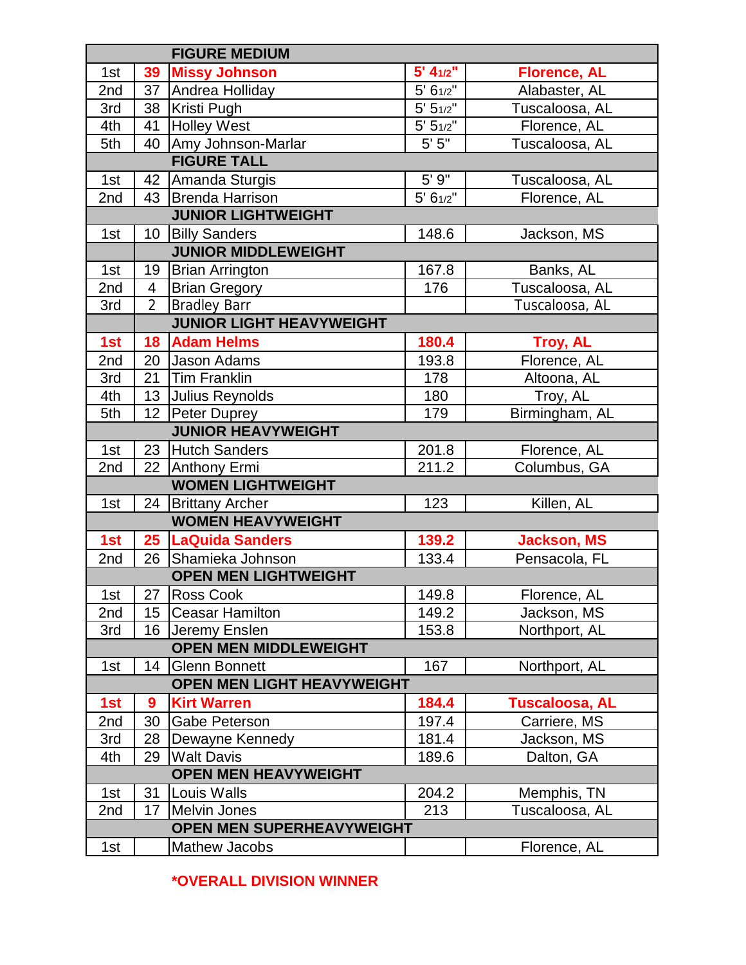| <b>FIGURE MEDIUM</b>             |                 |                                   |                |                       |  |  |  |
|----------------------------------|-----------------|-----------------------------------|----------------|-----------------------|--|--|--|
| 1st                              | 39              | <b>Missy Johnson</b>              | 5' 41/2"       | <b>Florence, AL</b>   |  |  |  |
| 2nd                              |                 | 37 Andrea Holliday                | 5' 61/2"       | Alabaster, AL         |  |  |  |
| 3rd                              |                 | 38 Kristi Pugh                    | $5' 5_{1/2}''$ | Tuscaloosa, AL        |  |  |  |
| 4th                              | 41              | <b>Holley West</b>                | 5' 51/2"       | Florence, AL          |  |  |  |
| 5th                              | 40              | Amy Johnson-Marlar                | $5' 5"$        | Tuscaloosa, AL        |  |  |  |
| <b>FIGURE TALL</b>               |                 |                                   |                |                       |  |  |  |
| 1st                              |                 | 42 Amanda Sturgis                 | 5'9''          | Tuscaloosa, AL        |  |  |  |
| 2nd                              | 43              | Brenda Harrison                   | 5' 61/2"       | Florence, AL          |  |  |  |
| <b>JUNIOR LIGHTWEIGHT</b>        |                 |                                   |                |                       |  |  |  |
| 1st                              | 10              | <b>Billy Sanders</b>              | 148.6          | Jackson, MS           |  |  |  |
|                                  |                 | <b>JUNIOR MIDDLEWEIGHT</b>        |                |                       |  |  |  |
| 1st                              | 19              | <b>Brian Arrington</b>            | 167.8          | Banks, AL             |  |  |  |
| 2nd                              | 4               | <b>Brian Gregory</b>              | 176            | Tuscaloosa, AL        |  |  |  |
| 3rd                              | $\overline{2}$  | <b>Bradley Barr</b>               |                | Tuscaloosa, AL        |  |  |  |
| <b>JUNIOR LIGHT HEAVYWEIGHT</b>  |                 |                                   |                |                       |  |  |  |
| 1st                              | 18              | <b>Adam Helms</b>                 | 180.4          | Troy, AL              |  |  |  |
| 2nd                              | 20              | Jason Adams                       | 193.8          | Florence, AL          |  |  |  |
| 3rd                              | 21              | <b>Tim Franklin</b>               | 178            | Altoona, AL           |  |  |  |
| 4th                              | 13              | Julius Reynolds                   | 180            | Troy, AL              |  |  |  |
| 5th                              | 12              | Peter Duprey                      | 179            | Birmingham, AL        |  |  |  |
|                                  |                 | <b>JUNIOR HEAVYWEIGHT</b>         |                |                       |  |  |  |
| 1st                              | 23              | <b>Hutch Sanders</b>              | 201.8          | Florence, AL          |  |  |  |
| 2nd                              | 22              | Anthony Ermi                      | 211.2          | Columbus, GA          |  |  |  |
|                                  |                 | <b>WOMEN LIGHTWEIGHT</b>          |                |                       |  |  |  |
| 1st                              | 24              | <b>Brittany Archer</b>            | 123            | Killen, AL            |  |  |  |
|                                  |                 | <b>WOMEN HEAVYWEIGHT</b>          |                |                       |  |  |  |
| 1st                              | $25\phantom{.}$ | <b>LaQuida Sanders</b>            | 139.2          | <b>Jackson, MS</b>    |  |  |  |
| 2nd                              | 26              | Shamieka Johnson                  | 133.4          | Pensacola, FL         |  |  |  |
| <b>OPEN MEN LIGHTWEIGHT</b>      |                 |                                   |                |                       |  |  |  |
| 1st                              |                 | 27 Ross Cook                      | 149.8          | Florence, AL          |  |  |  |
| 2nd                              | 15              | <b>Ceasar Hamilton</b>            | 149.2          | Jackson, MS           |  |  |  |
| 3rd                              | 16              | Jeremy Enslen                     | 153.8          | Northport, AL         |  |  |  |
|                                  |                 | <b>OPEN MEN MIDDLEWEIGHT</b>      |                |                       |  |  |  |
| 1st                              | 14              | <b>Glenn Bonnett</b>              | 167            | Northport, AL         |  |  |  |
|                                  |                 | <b>OPEN MEN LIGHT HEAVYWEIGHT</b> |                |                       |  |  |  |
| 1st                              | 9               | <b>Kirt Warren</b>                | 184.4          | <b>Tuscaloosa, AL</b> |  |  |  |
| 2nd                              | 30              | <b>Gabe Peterson</b>              | 197.4          | Carriere, MS          |  |  |  |
| 3rd                              | 28              | Dewayne Kennedy                   | 181.4          | Jackson, MS           |  |  |  |
| 4th                              | 29              | <b>Walt Davis</b>                 | 189.6          | Dalton, GA            |  |  |  |
| <b>OPEN MEN HEAVYWEIGHT</b>      |                 |                                   |                |                       |  |  |  |
| 1st                              | 31              | Louis Walls                       | 204.2          | Memphis, TN           |  |  |  |
| 2nd                              | 17              | <b>Melvin Jones</b>               | 213            | Tuscaloosa, AL        |  |  |  |
| <b>OPEN MEN SUPERHEAVYWEIGHT</b> |                 |                                   |                |                       |  |  |  |
| 1st                              |                 | <b>Mathew Jacobs</b>              |                | Florence, AL          |  |  |  |

**\*OVERALL DIVISION WINNER**